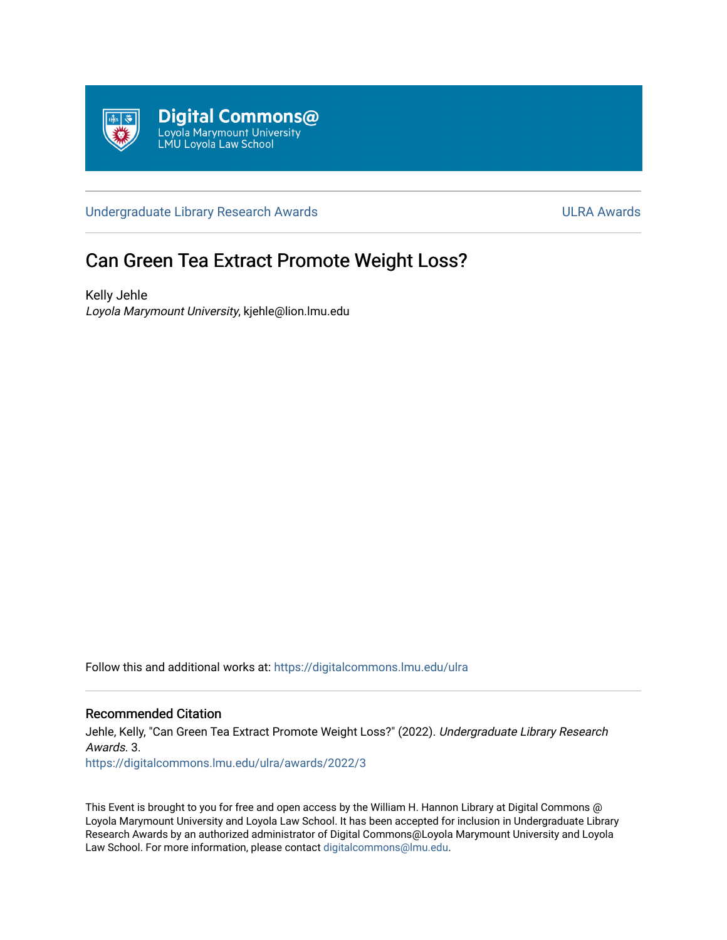

[Undergraduate Library Research Awards](https://digitalcommons.lmu.edu/ulra) **National Accord Contract Contract Contract Contract Contract Contract Contract Contract Contract Contract Contract Contract Contract Contract Contract Contract Contract Contract Contr** 

# Can Green Tea Extract Promote Weight Loss?

Kelly Jehle Loyola Marymount University, kjehle@lion.lmu.edu

Follow this and additional works at: [https://digitalcommons.lmu.edu/ulra](https://digitalcommons.lmu.edu/ulra?utm_source=digitalcommons.lmu.edu%2Fulra%2Fawards%2F2022%2F3&utm_medium=PDF&utm_campaign=PDFCoverPages)

# Recommended Citation

Jehle, Kelly, "Can Green Tea Extract Promote Weight Loss?" (2022). Undergraduate Library Research Awards. 3. [https://digitalcommons.lmu.edu/ulra/awards/2022/3](https://digitalcommons.lmu.edu/ulra/awards/2022/3?utm_source=digitalcommons.lmu.edu%2Fulra%2Fawards%2F2022%2F3&utm_medium=PDF&utm_campaign=PDFCoverPages)

This Event is brought to you for free and open access by the William H. Hannon Library at Digital Commons @ Loyola Marymount University and Loyola Law School. It has been accepted for inclusion in Undergraduate Library Research Awards by an authorized administrator of Digital Commons@Loyola Marymount University and Loyola Law School. For more information, please contact [digitalcommons@lmu.edu.](mailto:digitalcommons@lmu.edu)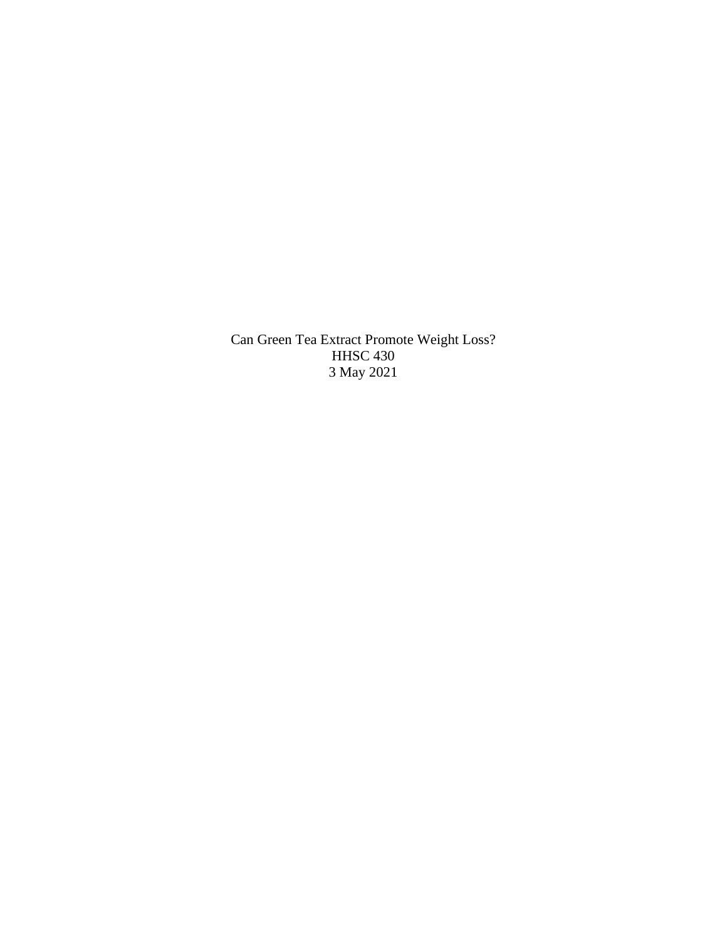Can Green Tea Extract Promote Weight Loss? HHSC 430 3 May 2021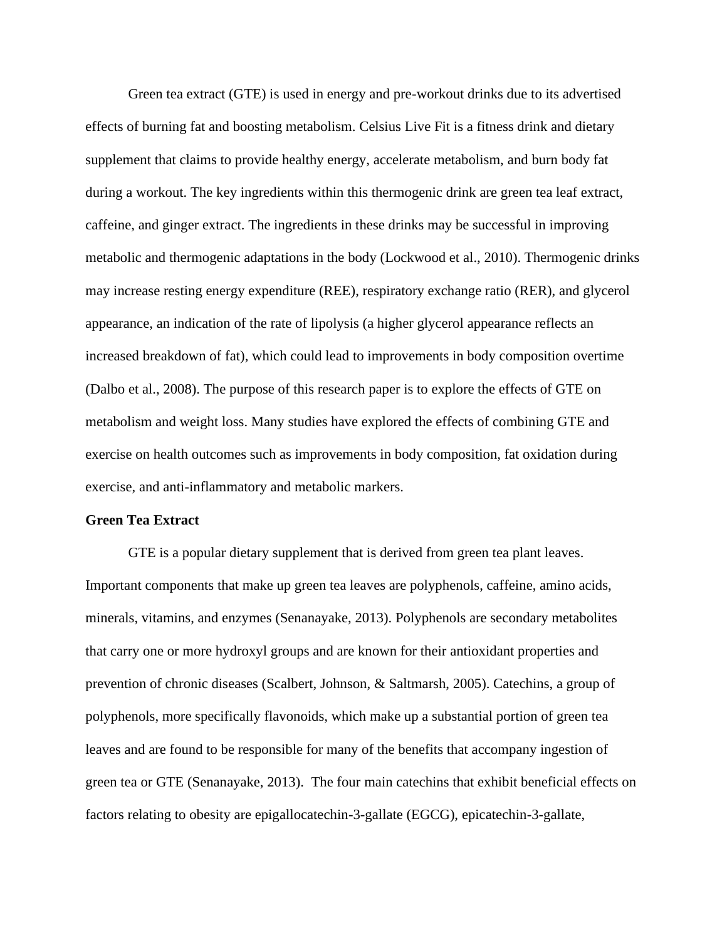Green tea extract (GTE) is used in energy and pre-workout drinks due to its advertised effects of burning fat and boosting metabolism. Celsius Live Fit is a fitness drink and dietary supplement that claims to provide healthy energy, accelerate metabolism, and burn body fat during a workout. The key ingredients within this thermogenic drink are green tea leaf extract, caffeine, and ginger extract. The ingredients in these drinks may be successful in improving metabolic and thermogenic adaptations in the body (Lockwood et al., 2010). Thermogenic drinks may increase resting energy expenditure (REE), respiratory exchange ratio (RER), and glycerol appearance, an indication of the rate of lipolysis (a higher glycerol appearance reflects an increased breakdown of fat), which could lead to improvements in body composition overtime (Dalbo et al., 2008). The purpose of this research paper is to explore the effects of GTE on metabolism and weight loss. Many studies have explored the effects of combining GTE and exercise on health outcomes such as improvements in body composition, fat oxidation during exercise, and anti-inflammatory and metabolic markers.

# **Green Tea Extract**

GTE is a popular dietary supplement that is derived from green tea plant leaves. Important components that make up green tea leaves are polyphenols, caffeine, amino acids, minerals, vitamins, and enzymes (Senanayake, 2013). Polyphenols are secondary metabolites that carry one or more hydroxyl groups and are known for their antioxidant properties and prevention of chronic diseases (Scalbert, Johnson, & Saltmarsh, 2005). Catechins, a group of polyphenols, more specifically flavonoids, which make up a substantial portion of green tea leaves and are found to be responsible for many of the benefits that accompany ingestion of green tea or GTE (Senanayake, 2013). The four main catechins that exhibit beneficial effects on factors relating to obesity are epigallocatechin-3-gallate (EGCG), epicatechin-3-gallate,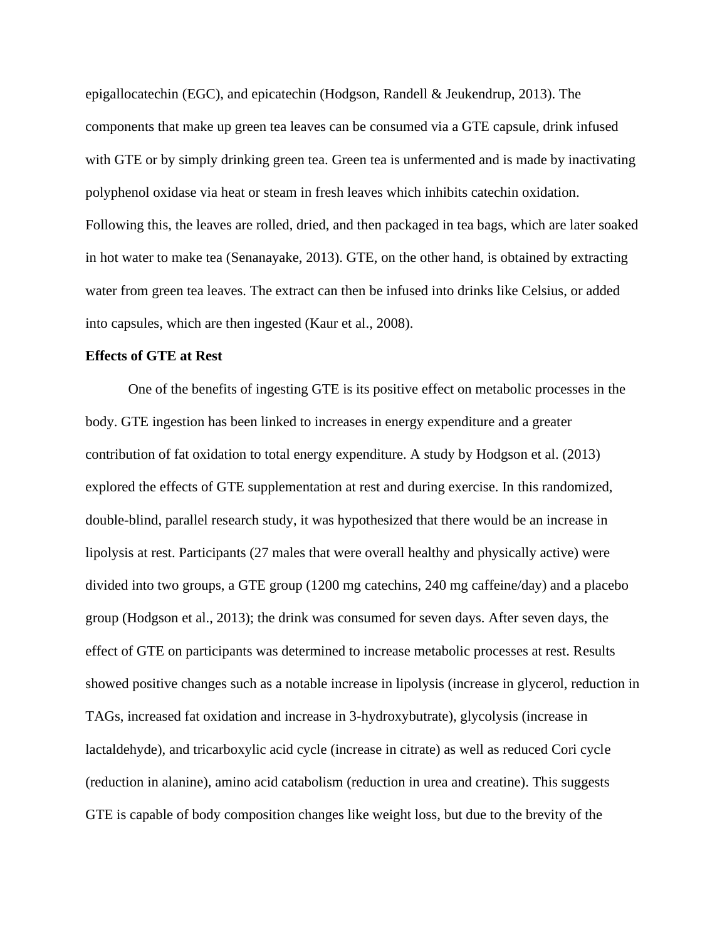epigallocatechin (EGC), and epicatechin (Hodgson, Randell & Jeukendrup, 2013). The components that make up green tea leaves can be consumed via a GTE capsule, drink infused with GTE or by simply drinking green tea. Green tea is unfermented and is made by inactivating polyphenol oxidase via heat or steam in fresh leaves which inhibits catechin oxidation. Following this, the leaves are rolled, dried, and then packaged in tea bags, which are later soaked in hot water to make tea (Senanayake, 2013). GTE, on the other hand, is obtained by extracting water from green tea leaves. The extract can then be infused into drinks like Celsius, or added into capsules, which are then ingested (Kaur et al., 2008).

# **Effects of GTE at Rest**

One of the benefits of ingesting GTE is its positive effect on metabolic processes in the body. GTE ingestion has been linked to increases in energy expenditure and a greater contribution of fat oxidation to total energy expenditure. A study by Hodgson et al. (2013) explored the effects of GTE supplementation at rest and during exercise. In this randomized, double-blind, parallel research study, it was hypothesized that there would be an increase in lipolysis at rest. Participants (27 males that were overall healthy and physically active) were divided into two groups, a GTE group (1200 mg catechins, 240 mg caffeine/day) and a placebo group (Hodgson et al., 2013); the drink was consumed for seven days. After seven days, the effect of GTE on participants was determined to increase metabolic processes at rest. Results showed positive changes such as a notable increase in lipolysis (increase in glycerol, reduction in TAGs, increased fat oxidation and increase in 3-hydroxybutrate), glycolysis (increase in lactaldehyde), and tricarboxylic acid cycle (increase in citrate) as well as reduced Cori cycle (reduction in alanine), amino acid catabolism (reduction in urea and creatine). This suggests GTE is capable of body composition changes like weight loss, but due to the brevity of the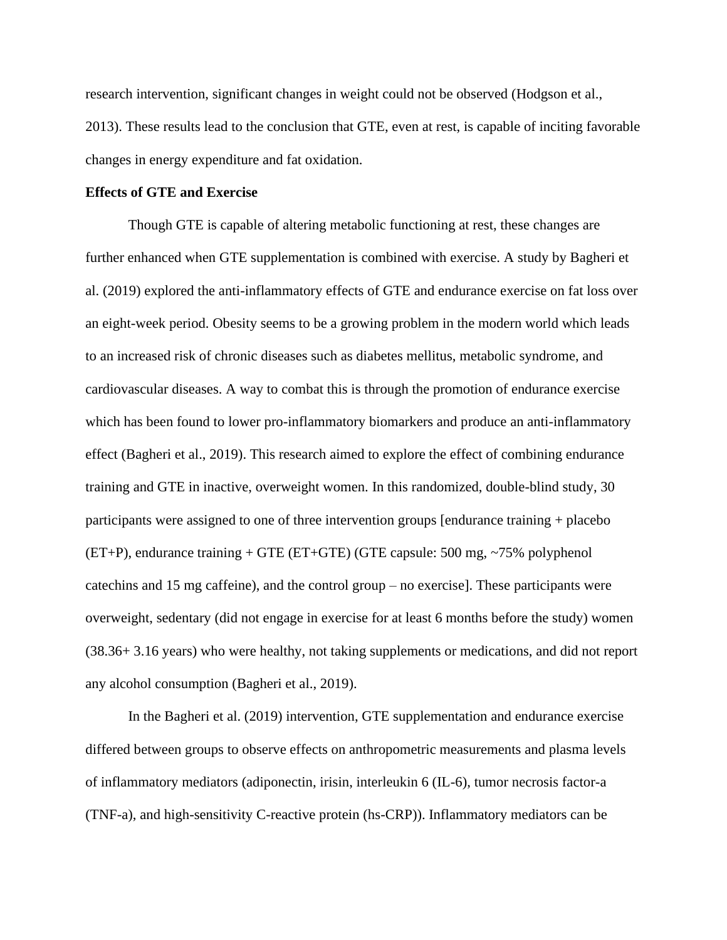research intervention, significant changes in weight could not be observed (Hodgson et al., 2013). These results lead to the conclusion that GTE, even at rest, is capable of inciting favorable changes in energy expenditure and fat oxidation.

## **Effects of GTE and Exercise**

Though GTE is capable of altering metabolic functioning at rest, these changes are further enhanced when GTE supplementation is combined with exercise. A study by Bagheri et al. (2019) explored the anti-inflammatory effects of GTE and endurance exercise on fat loss over an eight-week period. Obesity seems to be a growing problem in the modern world which leads to an increased risk of chronic diseases such as diabetes mellitus, metabolic syndrome, and cardiovascular diseases. A way to combat this is through the promotion of endurance exercise which has been found to lower pro-inflammatory biomarkers and produce an anti-inflammatory effect (Bagheri et al., 2019). This research aimed to explore the effect of combining endurance training and GTE in inactive, overweight women. In this randomized, double-blind study, 30 participants were assigned to one of three intervention groups [endurance training + placebo  $(ET+P)$ , endurance training + GTE (ET+GTE) (GTE capsule: 500 mg, ~75% polyphenol catechins and 15 mg caffeine), and the control group – no exercise]. These participants were overweight, sedentary (did not engage in exercise for at least 6 months before the study) women (38.36+ 3.16 years) who were healthy, not taking supplements or medications, and did not report any alcohol consumption (Bagheri et al., 2019).

In the Bagheri et al. (2019) intervention, GTE supplementation and endurance exercise differed between groups to observe effects on anthropometric measurements and plasma levels of inflammatory mediators (adiponectin, irisin, interleukin 6 (IL-6), tumor necrosis factor-a (TNF-a), and high-sensitivity C-reactive protein (hs-CRP)). Inflammatory mediators can be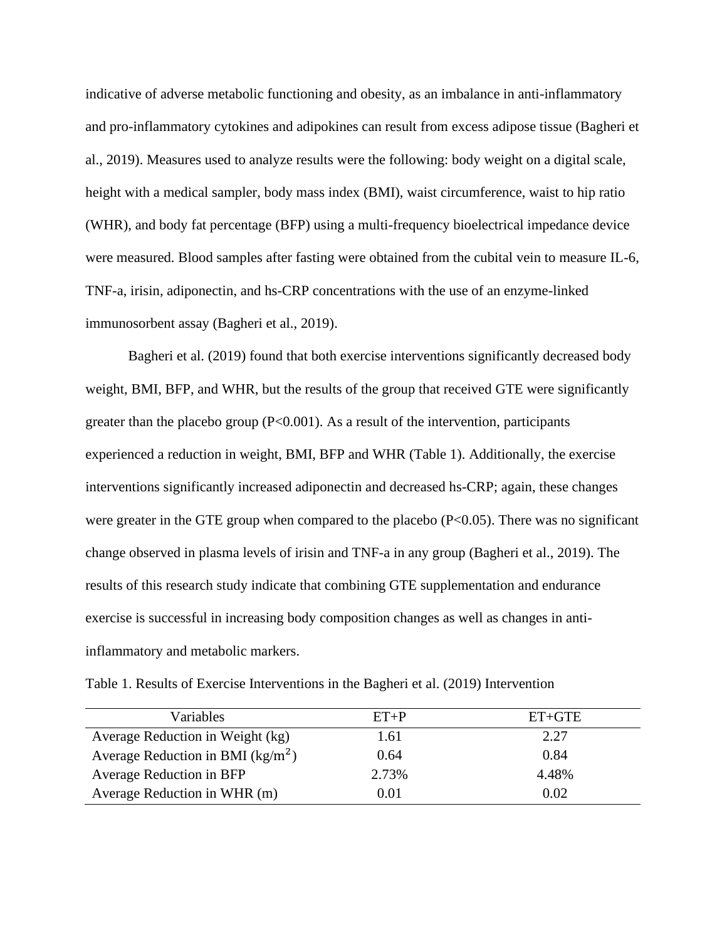indicative of adverse metabolic functioning and obesity, as an imbalance in anti-inflammatory and pro-inflammatory cytokines and adipokines can result from excess adipose tissue (Bagheri et al., 2019). Measures used to analyze results were the following: body weight on a digital scale, height with a medical sampler, body mass index (BMI), waist circumference, waist to hip ratio (WHR), and body fat percentage (BFP) using a multi-frequency bioelectrical impedance device were measured. Blood samples after fasting were obtained from the cubital vein to measure IL-6, TNF-a, irisin, adiponectin, and hs-CRP concentrations with the use of an enzyme-linked immunosorbent assay (Bagheri et al., 2019).

Bagheri et al. (2019) found that both exercise interventions significantly decreased body weight, BMI, BFP, and WHR, but the results of the group that received GTE were significantly greater than the placebo group  $(P<0.001)$ . As a result of the intervention, participants experienced a reduction in weight, BMI, BFP and WHR (Table 1). Additionally, the exercise interventions significantly increased adiponectin and decreased hs-CRP; again, these changes were greater in the GTE group when compared to the placebo  $(P<0.05)$ . There was no significant change observed in plasma levels of irisin and TNF-a in any group (Bagheri et al., 2019). The results of this research study indicate that combining GTE supplementation and endurance exercise is successful in increasing body composition changes as well as changes in antiinflammatory and metabolic markers.

| Variables                                    | $ET+P$ | $ET+GTE$ |
|----------------------------------------------|--------|----------|
| Average Reduction in Weight (kg)             | 1.61   | 2.27     |
| Average Reduction in BMI ( $\text{kg/m}^2$ ) | 0.64   | 0.84     |
| Average Reduction in BFP                     | 2.73%  | 4.48%    |
| Average Reduction in WHR (m)                 | 0.01   | 0.02     |

Table 1. Results of Exercise Interventions in the Bagheri et al. (2019) Intervention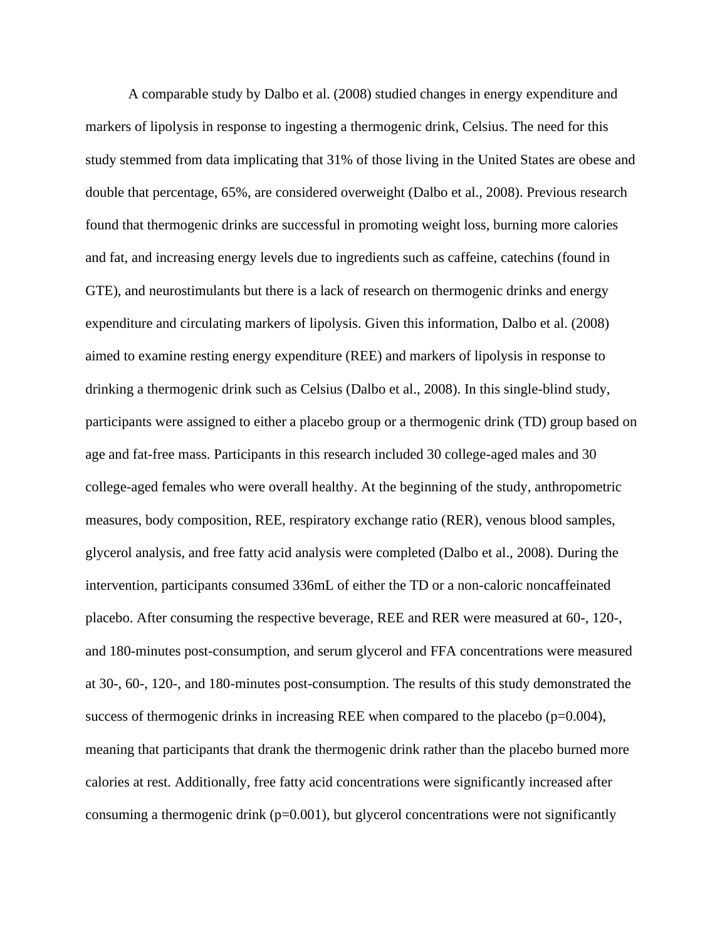A comparable study by Dalbo et al. (2008) studied changes in energy expenditure and markers of lipolysis in response to ingesting a thermogenic drink, Celsius. The need for this study stemmed from data implicating that 31% of those living in the United States are obese and double that percentage, 65%, are considered overweight (Dalbo et al., 2008). Previous research found that thermogenic drinks are successful in promoting weight loss, burning more calories and fat, and increasing energy levels due to ingredients such as caffeine, catechins (found in GTE), and neurostimulants but there is a lack of research on thermogenic drinks and energy expenditure and circulating markers of lipolysis. Given this information, Dalbo et al. (2008) aimed to examine resting energy expenditure (REE) and markers of lipolysis in response to drinking a thermogenic drink such as Celsius (Dalbo et al., 2008). In this single-blind study, participants were assigned to either a placebo group or a thermogenic drink (TD) group based on age and fat-free mass. Participants in this research included 30 college-aged males and 30 college-aged females who were overall healthy. At the beginning of the study, anthropometric measures, body composition, REE, respiratory exchange ratio (RER), venous blood samples, glycerol analysis, and free fatty acid analysis were completed (Dalbo et al., 2008). During the intervention, participants consumed 336mL of either the TD or a non-caloric noncaffeinated placebo. After consuming the respective beverage, REE and RER were measured at 60-, 120-, and 180-minutes post-consumption, and serum glycerol and FFA concentrations were measured at 30-, 60-, 120-, and 180-minutes post-consumption. The results of this study demonstrated the success of thermogenic drinks in increasing REE when compared to the placebo ( $p=0.004$ ), meaning that participants that drank the thermogenic drink rather than the placebo burned more calories at rest. Additionally, free fatty acid concentrations were significantly increased after consuming a thermogenic drink ( $p=0.001$ ), but glycerol concentrations were not significantly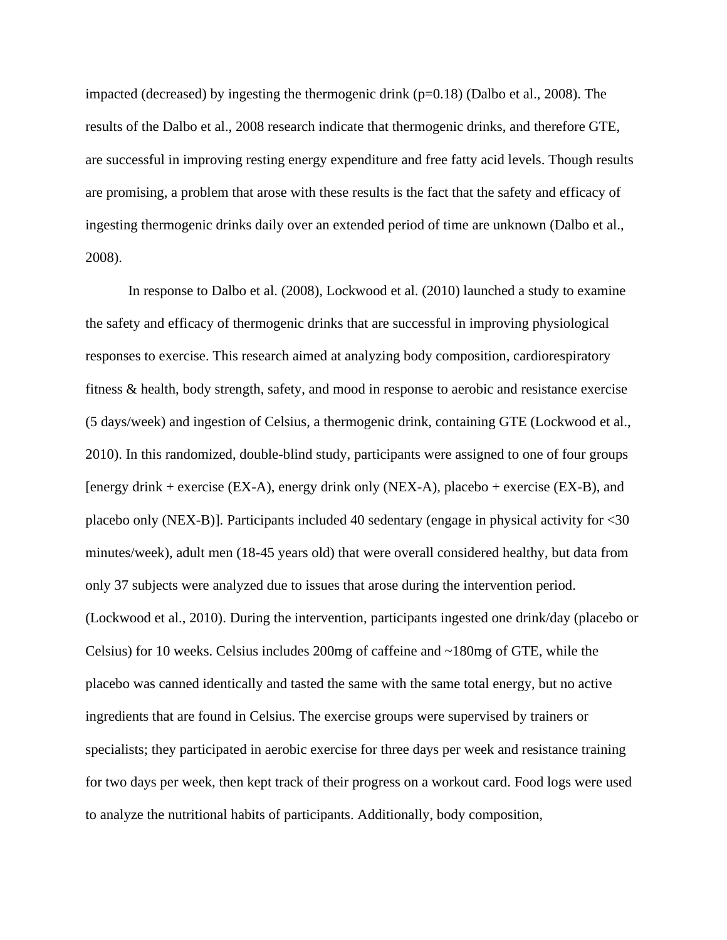impacted (decreased) by ingesting the thermogenic drink  $(p=0.18)$  (Dalbo et al., 2008). The results of the Dalbo et al., 2008 research indicate that thermogenic drinks, and therefore GTE, are successful in improving resting energy expenditure and free fatty acid levels. Though results are promising, a problem that arose with these results is the fact that the safety and efficacy of ingesting thermogenic drinks daily over an extended period of time are unknown (Dalbo et al., 2008).

In response to Dalbo et al. (2008), Lockwood et al. (2010) launched a study to examine the safety and efficacy of thermogenic drinks that are successful in improving physiological responses to exercise. This research aimed at analyzing body composition, cardiorespiratory fitness & health, body strength, safety, and mood in response to aerobic and resistance exercise (5 days/week) and ingestion of Celsius, a thermogenic drink, containing GTE (Lockwood et al., 2010). In this randomized, double-blind study, participants were assigned to one of four groups [energy drink + exercise (EX-A), energy drink only (NEX-A), placebo + exercise (EX-B), and placebo only (NEX-B)]. Participants included 40 sedentary (engage in physical activity for <30 minutes/week), adult men (18-45 years old) that were overall considered healthy, but data from only 37 subjects were analyzed due to issues that arose during the intervention period. (Lockwood et al., 2010). During the intervention, participants ingested one drink/day (placebo or Celsius) for 10 weeks. Celsius includes 200mg of caffeine and ~180mg of GTE, while the placebo was canned identically and tasted the same with the same total energy, but no active ingredients that are found in Celsius. The exercise groups were supervised by trainers or specialists; they participated in aerobic exercise for three days per week and resistance training for two days per week, then kept track of their progress on a workout card. Food logs were used to analyze the nutritional habits of participants. Additionally, body composition,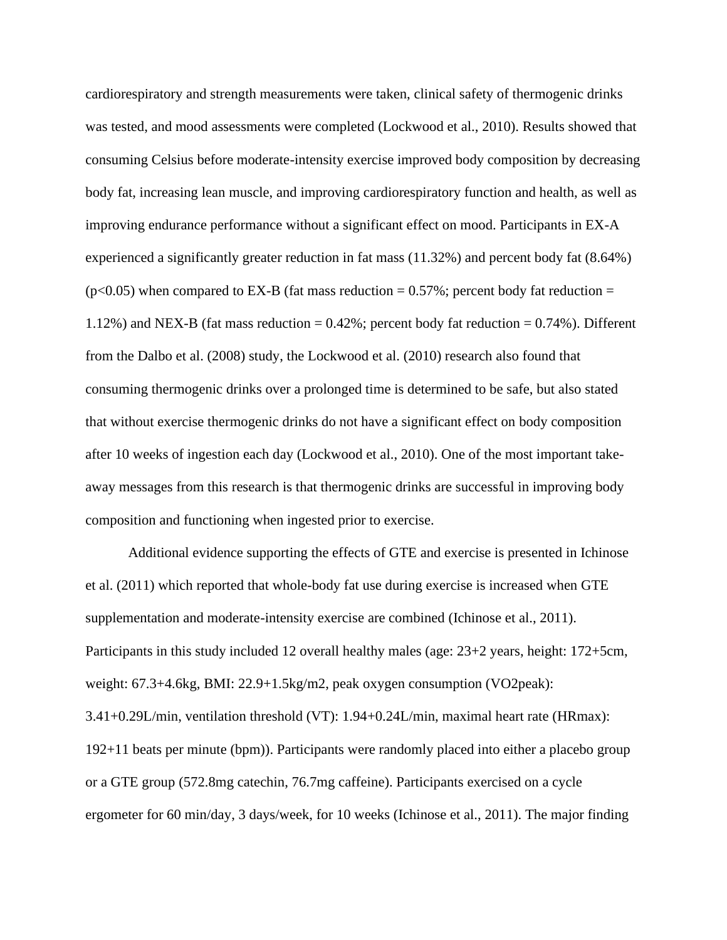cardiorespiratory and strength measurements were taken, clinical safety of thermogenic drinks was tested, and mood assessments were completed (Lockwood et al., 2010). Results showed that consuming Celsius before moderate-intensity exercise improved body composition by decreasing body fat, increasing lean muscle, and improving cardiorespiratory function and health, as well as improving endurance performance without a significant effect on mood. Participants in EX-A experienced a significantly greater reduction in fat mass (11.32%) and percent body fat (8.64%)  $(p<0.05)$  when compared to EX-B (fat mass reduction = 0.57%; percent body fat reduction = 1.12%) and NEX-B (fat mass reduction = 0.42%; percent body fat reduction = 0.74%). Different from the Dalbo et al. (2008) study, the Lockwood et al. (2010) research also found that consuming thermogenic drinks over a prolonged time is determined to be safe, but also stated that without exercise thermogenic drinks do not have a significant effect on body composition after 10 weeks of ingestion each day (Lockwood et al., 2010). One of the most important takeaway messages from this research is that thermogenic drinks are successful in improving body composition and functioning when ingested prior to exercise.

Additional evidence supporting the effects of GTE and exercise is presented in Ichinose et al. (2011) which reported that whole-body fat use during exercise is increased when GTE supplementation and moderate-intensity exercise are combined (Ichinose et al., 2011). Participants in this study included 12 overall healthy males (age: 23+2 years, height: 172+5cm, weight: 67.3+4.6kg, BMI: 22.9+1.5kg/m2, peak oxygen consumption (VO2peak): 3.41+0.29L/min, ventilation threshold (VT): 1.94+0.24L/min, maximal heart rate (HRmax): 192+11 beats per minute (bpm)). Participants were randomly placed into either a placebo group or a GTE group (572.8mg catechin, 76.7mg caffeine). Participants exercised on a cycle ergometer for 60 min/day, 3 days/week, for 10 weeks (Ichinose et al., 2011). The major finding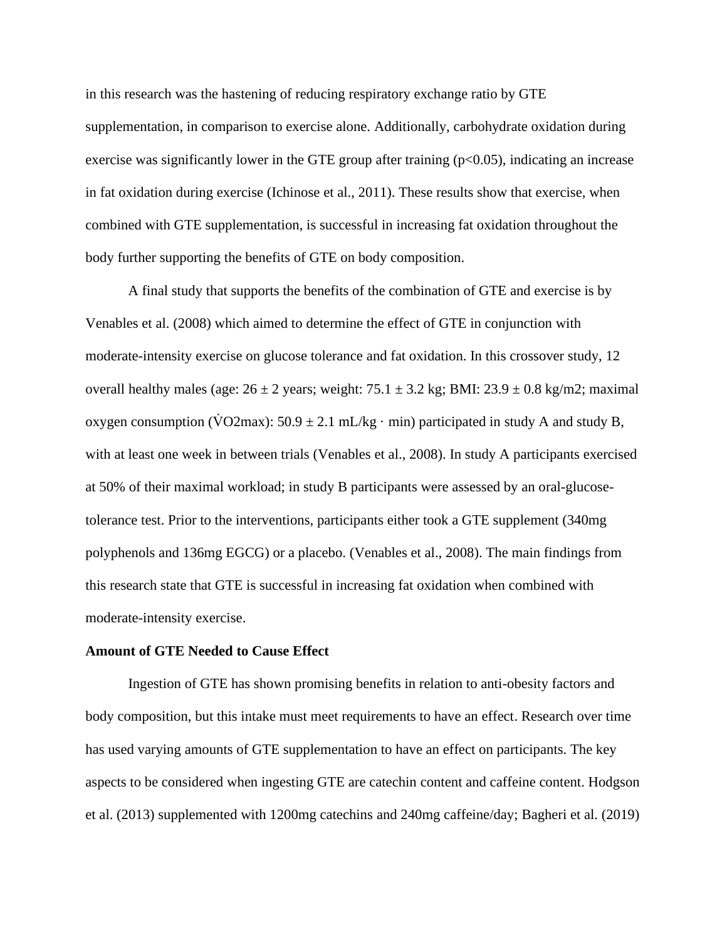in this research was the hastening of reducing respiratory exchange ratio by GTE supplementation, in comparison to exercise alone. Additionally, carbohydrate oxidation during exercise was significantly lower in the GTE group after training  $(p<0.05)$ , indicating an increase in fat oxidation during exercise (Ichinose et al., 2011). These results show that exercise, when combined with GTE supplementation, is successful in increasing fat oxidation throughout the body further supporting the benefits of GTE on body composition.

A final study that supports the benefits of the combination of GTE and exercise is by Venables et al. (2008) which aimed to determine the effect of GTE in conjunction with moderate-intensity exercise on glucose tolerance and fat oxidation. In this crossover study, 12 overall healthy males (age:  $26 \pm 2$  years; weight:  $75.1 \pm 3.2$  kg; BMI:  $23.9 \pm 0.8$  kg/m2; maximal oxygen consumption (VO2max):  $50.9 \pm 2.1$  mL/kg · min) participated in study A and study B, with at least one week in between trials (Venables et al., 2008). In study A participants exercised at 50% of their maximal workload; in study B participants were assessed by an oral-glucosetolerance test. Prior to the interventions, participants either took a GTE supplement (340mg polyphenols and 136mg EGCG) or a placebo. (Venables et al., 2008). The main findings from this research state that GTE is successful in increasing fat oxidation when combined with moderate-intensity exercise.

#### **Amount of GTE Needed to Cause Effect**

Ingestion of GTE has shown promising benefits in relation to anti-obesity factors and body composition, but this intake must meet requirements to have an effect. Research over time has used varying amounts of GTE supplementation to have an effect on participants. The key aspects to be considered when ingesting GTE are catechin content and caffeine content. Hodgson et al. (2013) supplemented with 1200mg catechins and 240mg caffeine/day; Bagheri et al. (2019)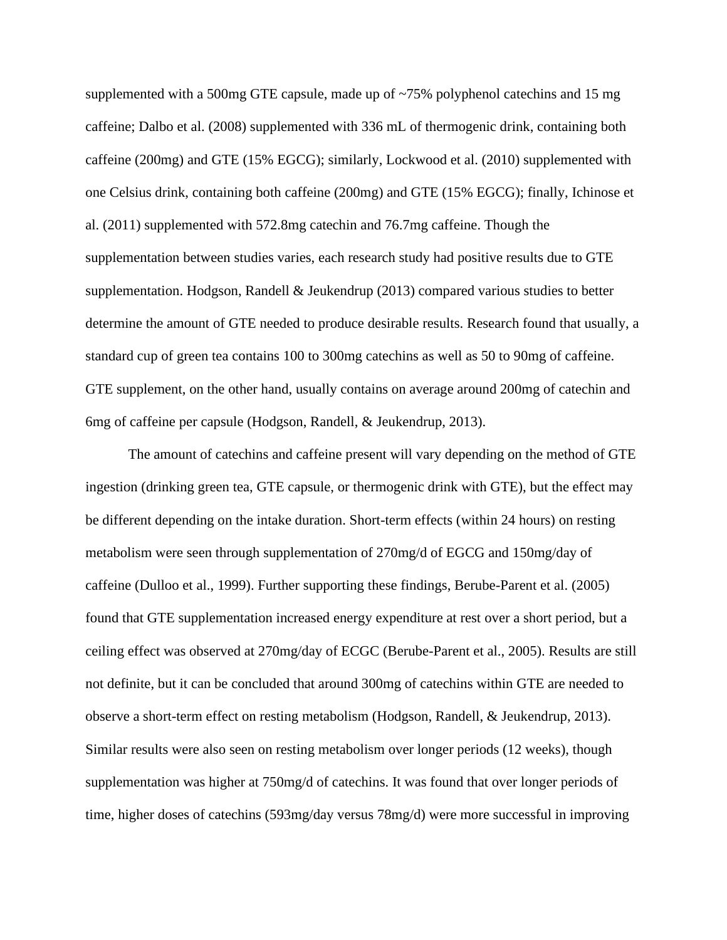supplemented with a 500mg GTE capsule, made up of ~75% polyphenol catechins and 15 mg caffeine; Dalbo et al. (2008) supplemented with 336 mL of thermogenic drink, containing both caffeine (200mg) and GTE (15% EGCG); similarly, Lockwood et al. (2010) supplemented with one Celsius drink, containing both caffeine (200mg) and GTE (15% EGCG); finally, Ichinose et al. (2011) supplemented with 572.8mg catechin and 76.7mg caffeine. Though the supplementation between studies varies, each research study had positive results due to GTE supplementation. Hodgson, Randell & Jeukendrup (2013) compared various studies to better determine the amount of GTE needed to produce desirable results. Research found that usually, a standard cup of green tea contains 100 to 300mg catechins as well as 50 to 90mg of caffeine. GTE supplement, on the other hand, usually contains on average around 200mg of catechin and 6mg of caffeine per capsule (Hodgson, Randell, & Jeukendrup, 2013).

The amount of catechins and caffeine present will vary depending on the method of GTE ingestion (drinking green tea, GTE capsule, or thermogenic drink with GTE), but the effect may be different depending on the intake duration. Short-term effects (within 24 hours) on resting metabolism were seen through supplementation of 270mg/d of EGCG and 150mg/day of caffeine (Dulloo et al., 1999). Further supporting these findings, Berube-Parent et al. (2005) found that GTE supplementation increased energy expenditure at rest over a short period, but a ceiling effect was observed at 270mg/day of ECGC (Berube-Parent et al., 2005). Results are still not definite, but it can be concluded that around 300mg of catechins within GTE are needed to observe a short-term effect on resting metabolism (Hodgson, Randell, & Jeukendrup, 2013). Similar results were also seen on resting metabolism over longer periods (12 weeks), though supplementation was higher at 750mg/d of catechins. It was found that over longer periods of time, higher doses of catechins (593mg/day versus 78mg/d) were more successful in improving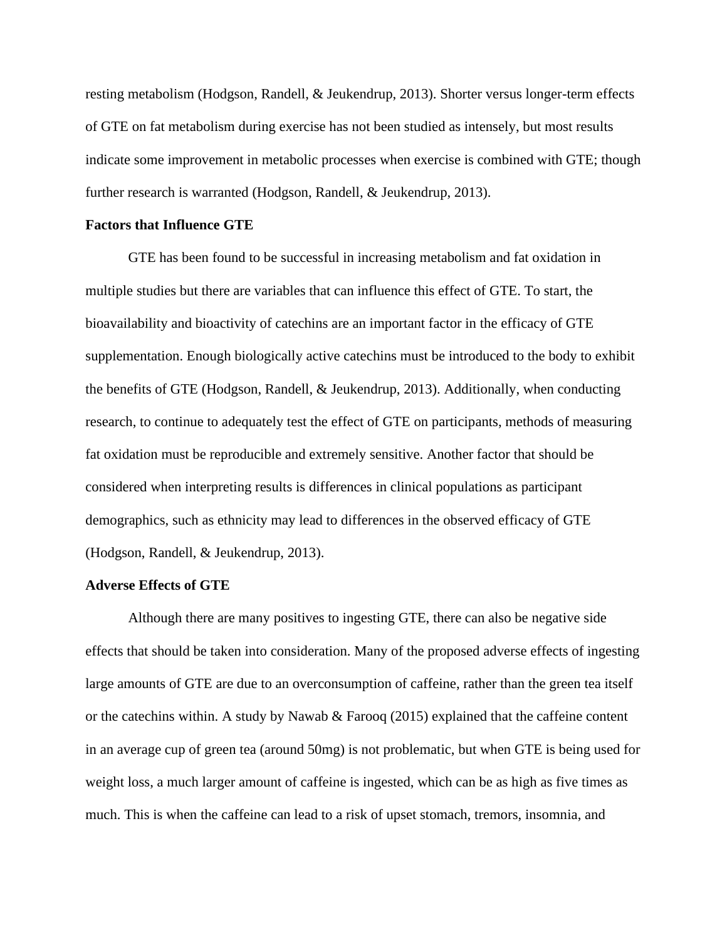resting metabolism (Hodgson, Randell, & Jeukendrup, 2013). Shorter versus longer-term effects of GTE on fat metabolism during exercise has not been studied as intensely, but most results indicate some improvement in metabolic processes when exercise is combined with GTE; though further research is warranted (Hodgson, Randell, & Jeukendrup, 2013).

## **Factors that Influence GTE**

GTE has been found to be successful in increasing metabolism and fat oxidation in multiple studies but there are variables that can influence this effect of GTE. To start, the bioavailability and bioactivity of catechins are an important factor in the efficacy of GTE supplementation. Enough biologically active catechins must be introduced to the body to exhibit the benefits of GTE (Hodgson, Randell, & Jeukendrup, 2013). Additionally, when conducting research, to continue to adequately test the effect of GTE on participants, methods of measuring fat oxidation must be reproducible and extremely sensitive. Another factor that should be considered when interpreting results is differences in clinical populations as participant demographics, such as ethnicity may lead to differences in the observed efficacy of GTE (Hodgson, Randell, & Jeukendrup, 2013).

# **Adverse Effects of GTE**

Although there are many positives to ingesting GTE, there can also be negative side effects that should be taken into consideration. Many of the proposed adverse effects of ingesting large amounts of GTE are due to an overconsumption of caffeine, rather than the green tea itself or the catechins within. A study by Nawab & Farooq  $(2015)$  explained that the caffeine content in an average cup of green tea (around 50mg) is not problematic, but when GTE is being used for weight loss, a much larger amount of caffeine is ingested, which can be as high as five times as much. This is when the caffeine can lead to a risk of upset stomach, tremors, insomnia, and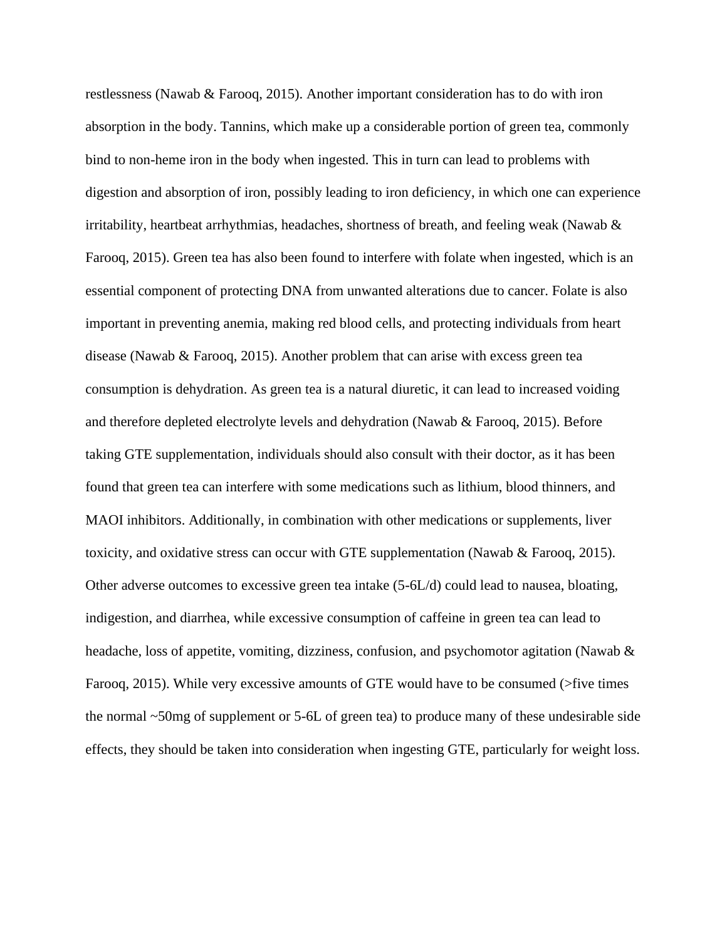restlessness (Nawab & Farooq, 2015). Another important consideration has to do with iron absorption in the body. Tannins, which make up a considerable portion of green tea, commonly bind to non-heme iron in the body when ingested. This in turn can lead to problems with digestion and absorption of iron, possibly leading to iron deficiency, in which one can experience irritability, heartbeat arrhythmias, headaches, shortness of breath, and feeling weak (Nawab  $\&$ Farooq, 2015). Green tea has also been found to interfere with folate when ingested, which is an essential component of protecting DNA from unwanted alterations due to cancer. Folate is also important in preventing anemia, making red blood cells, and protecting individuals from heart disease (Nawab  $&$  Farooq, 2015). Another problem that can arise with excess green tea consumption is dehydration. As green tea is a natural diuretic, it can lead to increased voiding and therefore depleted electrolyte levels and dehydration (Nawab & Farooq, 2015). Before taking GTE supplementation, individuals should also consult with their doctor, as it has been found that green tea can interfere with some medications such as lithium, blood thinners, and MAOI inhibitors. Additionally, in combination with other medications or supplements, liver toxicity, and oxidative stress can occur with GTE supplementation (Nawab & Farooq, 2015). Other adverse outcomes to excessive green tea intake (5-6L/d) could lead to nausea, bloating, indigestion, and diarrhea, while excessive consumption of caffeine in green tea can lead to headache, loss of appetite, vomiting, dizziness, confusion, and psychomotor agitation (Nawab & Farooq, 2015). While very excessive amounts of GTE would have to be consumed (>five times the normal ~50mg of supplement or 5-6L of green tea) to produce many of these undesirable side effects, they should be taken into consideration when ingesting GTE, particularly for weight loss.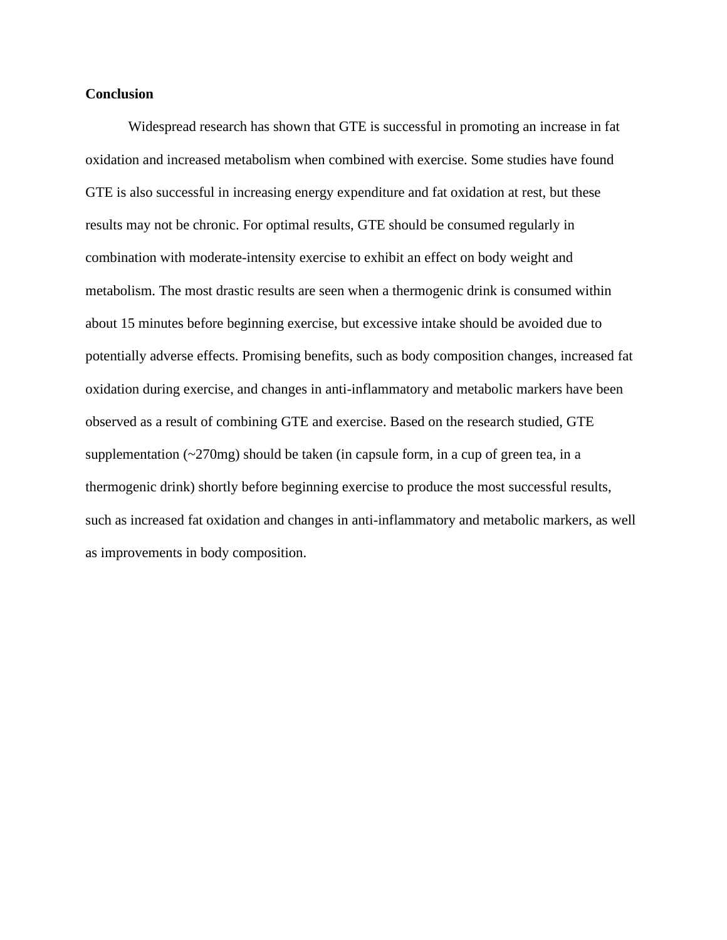# **Conclusion**

Widespread research has shown that GTE is successful in promoting an increase in fat oxidation and increased metabolism when combined with exercise. Some studies have found GTE is also successful in increasing energy expenditure and fat oxidation at rest, but these results may not be chronic. For optimal results, GTE should be consumed regularly in combination with moderate-intensity exercise to exhibit an effect on body weight and metabolism. The most drastic results are seen when a thermogenic drink is consumed within about 15 minutes before beginning exercise, but excessive intake should be avoided due to potentially adverse effects. Promising benefits, such as body composition changes, increased fat oxidation during exercise, and changes in anti-inflammatory and metabolic markers have been observed as a result of combining GTE and exercise. Based on the research studied, GTE supplementation  $(\sim 270 \text{mg})$  should be taken (in capsule form, in a cup of green tea, in a thermogenic drink) shortly before beginning exercise to produce the most successful results, such as increased fat oxidation and changes in anti-inflammatory and metabolic markers, as well as improvements in body composition.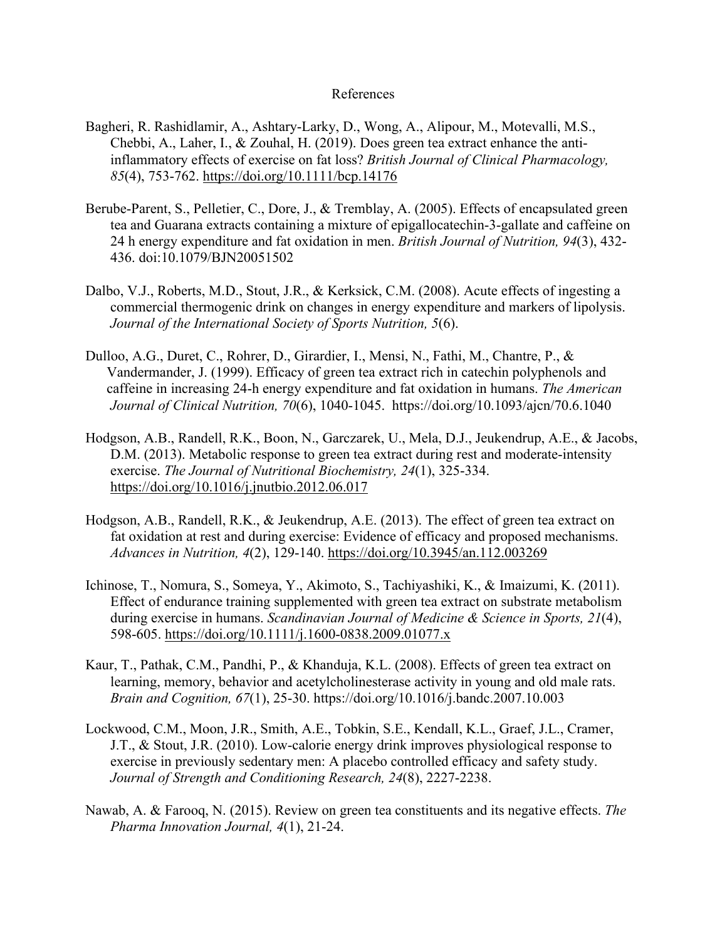# References

- Bagheri, R. Rashidlamir, A., Ashtary-Larky, D., Wong, A., Alipour, M., Motevalli, M.S., Chebbi, A., Laher, I., & Zouhal, H. (2019). Does green tea extract enhance the anti inflammatory effects of exercise on fat loss? *British Journal of Clinical Pharmacology, 85*(4), 753-762.<https://doi.org/10.1111/bcp.14176>
- Berube-Parent, S., Pelletier, C., Dore, J., & Tremblay, A. (2005). Effects of encapsulated green tea and Guarana extracts containing a mixture of epigallocatechin-3-gallate and caffeine on 24 h energy expenditure and fat oxidation in men. *British Journal of Nutrition, 94*(3), 432- 436. doi:10.1079/BJN20051502
- Dalbo, V.J., Roberts, M.D., Stout, J.R., & Kerksick, C.M. (2008). Acute effects of ingesting a commercial thermogenic drink on changes in energy expenditure and markers of lipolysis. *Journal of the International Society of Sports Nutrition, 5*(6).
- Dulloo, A.G., Duret, C., Rohrer, D., Girardier, I., Mensi, N., Fathi, M., Chantre, P., & Vandermander, J. (1999). Efficacy of green tea extract rich in catechin polyphenols and caffeine in increasing 24-h energy expenditure and fat oxidation in humans. *The American Journal of Clinical Nutrition, 70*(6), 1040-1045. <https://doi.org/10.1093/ajcn/70.6.1040>
- Hodgson, A.B., Randell, R.K., Boon, N., Garczarek, U., Mela, D.J., Jeukendrup, A.E., & Jacobs, D.M. (2013). Metabolic response to green tea extract during rest and moderate-intensity exercise. *The Journal of Nutritional Biochemistry, 24*(1), 325-334. <https://doi.org/10.1016/j.jnutbio.2012.06.017>
- Hodgson, A.B., Randell, R.K., & Jeukendrup, A.E. (2013). The effect of green tea extract on fat oxidation at rest and during exercise: Evidence of efficacy and proposed mechanisms. *Advances in Nutrition, 4*(2), 129-140.<https://doi.org/10.3945/an.112.003269>
- Ichinose, T., Nomura, S., Someya, Y., Akimoto, S., Tachiyashiki, K., & Imaizumi, K. (2011). Effect of endurance training supplemented with green tea extract on substrate metabolism during exercise in humans. *Scandinavian Journal of Medicine & Science in Sports, 21*(4), 598-605.<https://doi.org/10.1111/j.1600-0838.2009.01077.x>
- Kaur, T., Pathak, C.M., Pandhi, P., & Khanduja, K.L. (2008). Effects of green tea extract on learning, memory, behavior and acetylcholinesterase activity in young and old male rats. *Brain and Cognition, 67*(1), 25-30. https://doi.org/10.1016/j.bandc.2007.10.003
- Lockwood, C.M., Moon, J.R., Smith, A.E., Tobkin, S.E., Kendall, K.L., Graef, J.L., Cramer, J.T., & Stout, J.R. (2010). Low-calorie energy drink improves physiological response to exercise in previously sedentary men: A placebo controlled efficacy and safety study.  *Journal of Strength and Conditioning Research, 24*(8), 2227-2238.
- Nawab, A. & Farooq, N. (2015). Review on green tea constituents and its negative effects. *The Pharma Innovation Journal, 4*(1), 21-24.